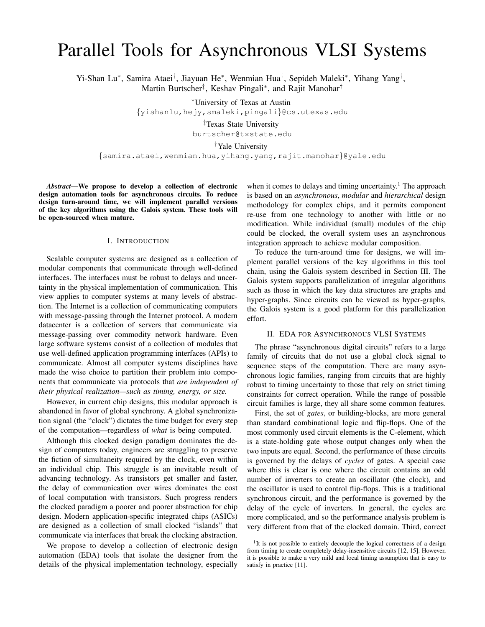# Parallel Tools for Asynchronous VLSI Systems

Yi-Shan Lu\*, Samira Ataei<sup>†</sup>, Jiayuan He\*, Wenmian Hua<sup>†</sup>, Sepideh Maleki\*, Yihang Yang<sup>†</sup>, Martin Burtscher<sup>‡</sup>, Keshav Pingali<sup>\*</sup>, and Rajit Manohar<sup>†</sup>

<sup>∗</sup>University of Texas at Austin

{yishanlu,hejy,smaleki,pingali}@cs.utexas.edu

‡Texas State University burtscher@txstate.edu

†Yale University

{samira.ataei,wenmian.hua,yihang.yang,rajit.manohar}@yale.edu

*Abstract*—We propose to develop a collection of electronic design automation tools for asynchronous circuits. To reduce design turn-around time, we will implement parallel versions of the key algorithms using the Galois system. These tools will be open-sourced when mature.

### I. INTRODUCTION

Scalable computer systems are designed as a collection of modular components that communicate through well-defined interfaces. The interfaces must be robust to delays and uncertainty in the physical implementation of communication. This view applies to computer systems at many levels of abstraction. The Internet is a collection of communicating computers with message-passing through the Internet protocol. A modern datacenter is a collection of servers that communicate via message-passing over commodity network hardware. Even large software systems consist of a collection of modules that use well-defined application programming interfaces (APIs) to communicate. Almost all computer systems disciplines have made the wise choice to partition their problem into components that communicate via protocols that *are independent of their physical realization—such as timing, energy, or size.*

However, in current chip designs, this modular approach is abandoned in favor of global synchrony. A global synchronization signal (the "clock") dictates the time budget for every step of the computation—regardless of *what* is being computed.

Although this clocked design paradigm dominates the design of computers today, engineers are struggling to preserve the fiction of simultaneity required by the clock, even within an individual chip. This struggle is an inevitable result of advancing technology. As transistors get smaller and faster, the delay of communication over wires dominates the cost of local computation with transistors. Such progress renders the clocked paradigm a poorer and poorer abstraction for chip design. Modern application-specific integrated chips (ASICs) are designed as a collection of small clocked "islands" that communicate via interfaces that break the clocking abstraction.

We propose to develop a collection of electronic design automation (EDA) tools that isolate the designer from the details of the physical implementation technology, especially

when it comes to delays and timing uncertainty.<sup>1</sup> The approach is based on an *asynchronous*, *modular* and *hierarchical* design methodology for complex chips, and it permits component re-use from one technology to another with little or no modification. While individual (small) modules of the chip could be clocked, the overall system uses an asynchronous integration approach to achieve modular composition.

To reduce the turn-around time for designs, we will implement parallel versions of the key algorithms in this tool chain, using the Galois system described in Section III. The Galois system supports parallelization of irregular algorithms such as those in which the key data structures are graphs and hyper-graphs. Since circuits can be viewed as hyper-graphs, the Galois system is a good platform for this parallelization effort.

### II. EDA FOR ASYNCHRONOUS VLSI SYSTEMS

The phrase "asynchronous digital circuits" refers to a large family of circuits that do not use a global clock signal to sequence steps of the computation. There are many asynchronous logic families, ranging from circuits that are highly robust to timing uncertainty to those that rely on strict timing constraints for correct operation. While the range of possible circuit families is large, they all share some common features.

First, the set of *gates*, or building-blocks, are more general than standard combinational logic and flip-flops. One of the most commonly used circuit elements is the C-element, which is a state-holding gate whose output changes only when the two inputs are equal. Second, the performance of these circuits is governed by the delays of *cycles* of gates. A special case where this is clear is one where the circuit contains an odd number of inverters to create an oscillator (the clock), and the oscillator is used to control flip-flops. This is a traditional synchronous circuit, and the performance is governed by the delay of the cycle of inverters. In general, the cycles are more complicated, and so the performance analysis problem is very different from that of the clocked domain. Third, correct

<sup>&</sup>lt;sup>1</sup>It is not possible to entirely decouple the logical correctness of a design from timing to create completely delay-insensitive circuits [12, 15]. However, it is possible to make a very mild and local timing assumption that is easy to satisfy in practice [11].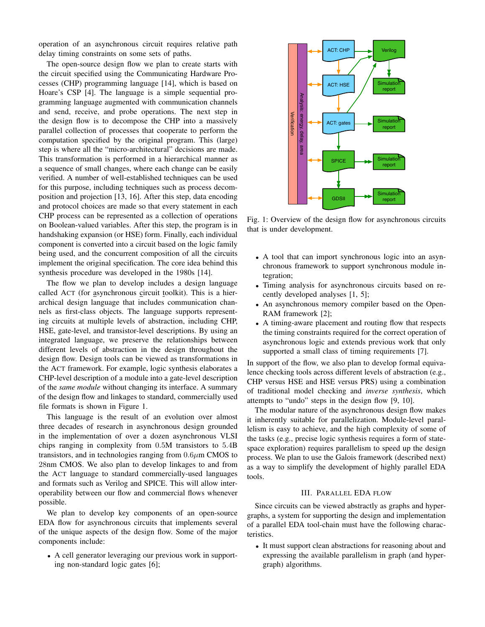operation of an asynchronous circuit requires relative path delay timing constraints on some sets of paths.

The open-source design flow we plan to create starts with the circuit specified using the Communicating Hardware Processes (CHP) programming language [14], which is based on Hoare's CSP [4]. The language is a simple sequential programming language augmented with communication channels and send, receive, and probe operations. The next step in the design flow is to decompose the CHP into a massively parallel collection of processes that cooperate to perform the computation specified by the original program. This (large) step is where all the "micro-architectural" decisions are made. This transformation is performed in a hierarchical manner as a sequence of small changes, where each change can be easily verified. A number of well-established techniques can be used for this purpose, including techniques such as process decomposition and projection [13, 16]. After this step, data encoding and protocol choices are made so that every statement in each CHP process can be represented as a collection of operations on Boolean-valued variables. After this step, the program is in handshaking expansion (or HSE) form. Finally, each individual component is converted into a circuit based on the logic family being used, and the concurrent composition of all the circuits implement the original specification. The core idea behind this synthesis procedure was developed in the 1980s [14].

The flow we plan to develop includes a design language called ACT (for asynchronous circuit toolkit). This is a hierarchical design language that includes communication channels as first-class objects. The language supports representing circuits at multiple levels of abstraction, including CHP, HSE, gate-level, and transistor-level descriptions. By using an integrated language, we preserve the relationships between different levels of abstraction in the design throughout the design flow. Design tools can be viewed as transformations in the ACT framework. For example, logic synthesis elaborates a CHP-level description of a module into a gate-level description of the *same module* without changing its interface. A summary of the design flow and linkages to standard, commercially used file formats is shown in Figure 1.

This language is the result of an evolution over almost three decades of research in asynchronous design grounded in the implementation of over a dozen asynchronous VLSI chips ranging in complexity from 0.5M transistors to 5.4B transistors, and in technologies ranging from  $0.6\mu$ m CMOS to 28nm CMOS. We also plan to develop linkages to and from the ACT language to standard commercially-used languages and formats such as Verilog and SPICE. This will allow interoperability between our flow and commercial flows whenever possible.

We plan to develop key components of an open-source EDA flow for asynchronous circuits that implements several of the unique aspects of the design flow. Some of the major components include:

• A cell generator leveraging our previous work in supporting non-standard logic gates [6];



Fig. 1: Overview of the design flow for asynchronous circuits that is under development.

- A tool that can import synchronous logic into an asynchronous framework to support synchronous module integration;
- Timing analysis for asynchronous circuits based on recently developed analyses [1, 5];
- An asynchronous memory compiler based on the Open-RAM framework [2];
- A timing-aware placement and routing flow that respects the timing constraints required for the correct operation of asynchronous logic and extends previous work that only supported a small class of timing requirements [7].

In support of the flow, we also plan to develop formal equivalence checking tools across different levels of abstraction (e.g., CHP versus HSE and HSE versus PRS) using a combination of traditional model checking and *inverse synthesis*, which attempts to "undo" steps in the design flow [9, 10].

The modular nature of the asynchronous design flow makes it inherently suitable for parallelization. Module-level parallelism is easy to achieve, and the high complexity of some of the tasks (e.g., precise logic synthesis requires a form of statespace exploration) requires parallelism to speed up the design process. We plan to use the Galois framework (described next) as a way to simplify the development of highly parallel EDA tools.

## III. PARALLEL EDA FLOW

Since circuits can be viewed abstractly as graphs and hypergraphs, a system for supporting the design and implementation of a parallel EDA tool-chain must have the following characteristics.

• It must support clean abstractions for reasoning about and expressing the available parallelism in graph (and hypergraph) algorithms.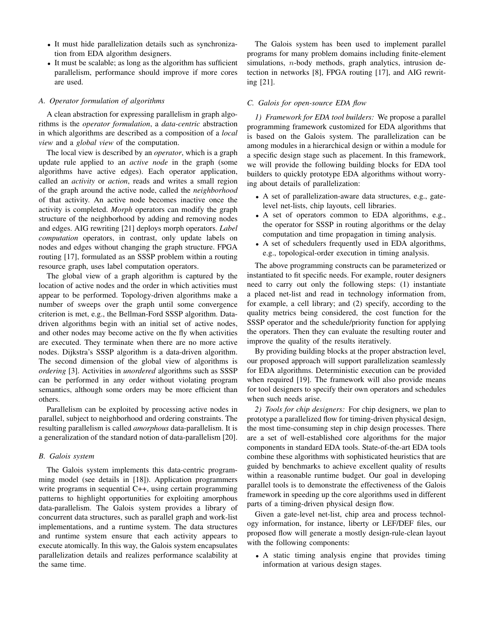- It must hide parallelization details such as synchronization from EDA algorithm designers.
- It must be scalable; as long as the algorithm has sufficient parallelism, performance should improve if more cores are used.

### *A. Operator formulation of algorithms*

A clean abstraction for expressing parallelism in graph algorithms is the *operator formulation*, a *data-centric* abstraction in which algorithms are described as a composition of a *local view* and a *global view* of the computation.

The local view is described by an *operator*, which is a graph update rule applied to an *active node* in the graph (some algorithms have active edges). Each operator application, called an *activity* or *action*, reads and writes a small region of the graph around the active node, called the *neighborhood* of that activity. An active node becomes inactive once the activity is completed. *Morph* operators can modify the graph structure of the neighborhood by adding and removing nodes and edges. AIG rewriting [21] deploys morph operators. *Label computation* operators, in contrast, only update labels on nodes and edges without changing the graph structure. FPGA routing [17], formulated as an SSSP problem within a routing resource graph, uses label computation operators.

The global view of a graph algorithm is captured by the location of active nodes and the order in which activities must appear to be performed. Topology-driven algorithms make a number of sweeps over the graph until some convergence criterion is met, e.g., the Bellman-Ford SSSP algorithm. Datadriven algorithms begin with an initial set of active nodes, and other nodes may become active on the fly when activities are executed. They terminate when there are no more active nodes. Dijkstra's SSSP algorithm is a data-driven algorithm. The second dimension of the global view of algorithms is *ordering* [3]. Activities in *unordered* algorithms such as SSSP can be performed in any order without violating program semantics, although some orders may be more efficient than others.

Parallelism can be exploited by processing active nodes in parallel, subject to neighborhood and ordering constraints. The resulting parallelism is called *amorphous* data-parallelism. It is a generalization of the standard notion of data-parallelism [20].

# *B. Galois system*

The Galois system implements this data-centric programming model (see details in [18]). Application programmers write programs in sequential C++, using certain programming patterns to highlight opportunities for exploiting amorphous data-parallelism. The Galois system provides a library of concurrent data structures, such as parallel graph and work-list implementations, and a runtime system. The data structures and runtime system ensure that each activity appears to execute atomically. In this way, the Galois system encapsulates parallelization details and realizes performance scalability at the same time.

The Galois system has been used to implement parallel programs for many problem domains including finite-element simulations, *n*-body methods, graph analytics, intrusion detection in networks [8], FPGA routing [17], and AIG rewriting [21].

## *C. Galois for open-source EDA flow*

*1) Framework for EDA tool builders:* We propose a parallel programming framework customized for EDA algorithms that is based on the Galois system. The parallelization can be among modules in a hierarchical design or within a module for a specific design stage such as placement. In this framework, we will provide the following building blocks for EDA tool builders to quickly prototype EDA algorithms without worrying about details of parallelization:

- A set of parallelization-aware data structures, e.g., gatelevel net-lists, chip layouts, cell libraries.
- A set of operators common to EDA algorithms, e.g., the operator for SSSP in routing algorithms or the delay computation and time propagation in timing analysis.
- A set of schedulers frequently used in EDA algorithms, e.g., topological-order execution in timing analysis.

The above programming constructs can be parameterized or instantiated to fit specific needs. For example, router designers need to carry out only the following steps: (1) instantiate a placed net-list and read in technology information from, for example, a cell library; and (2) specify, according to the quality metrics being considered, the cost function for the SSSP operator and the schedule/priority function for applying the operators. Then they can evaluate the resulting router and improve the quality of the results iteratively.

By providing building blocks at the proper abstraction level, our proposed approach will support parallelization seamlessly for EDA algorithms. Deterministic execution can be provided when required [19]. The framework will also provide means for tool designers to specify their own operators and schedules when such needs arise.

*2) Tools for chip designers:* For chip designers, we plan to prototype a parallelized flow for timing-driven physical design, the most time-consuming step in chip design processes. There are a set of well-established core algorithms for the major components in standard EDA tools. State-of-the-art EDA tools combine these algorithms with sophisticated heuristics that are guided by benchmarks to achieve excellent quality of results within a reasonable runtime budget. Our goal in developing parallel tools is to demonstrate the effectiveness of the Galois framework in speeding up the core algorithms used in different parts of a timing-driven physical design flow.

Given a gate-level net-list, chip area and process technology information, for instance, liberty or LEF/DEF files, our proposed flow will generate a mostly design-rule-clean layout with the following components:

• A static timing analysis engine that provides timing information at various design stages.